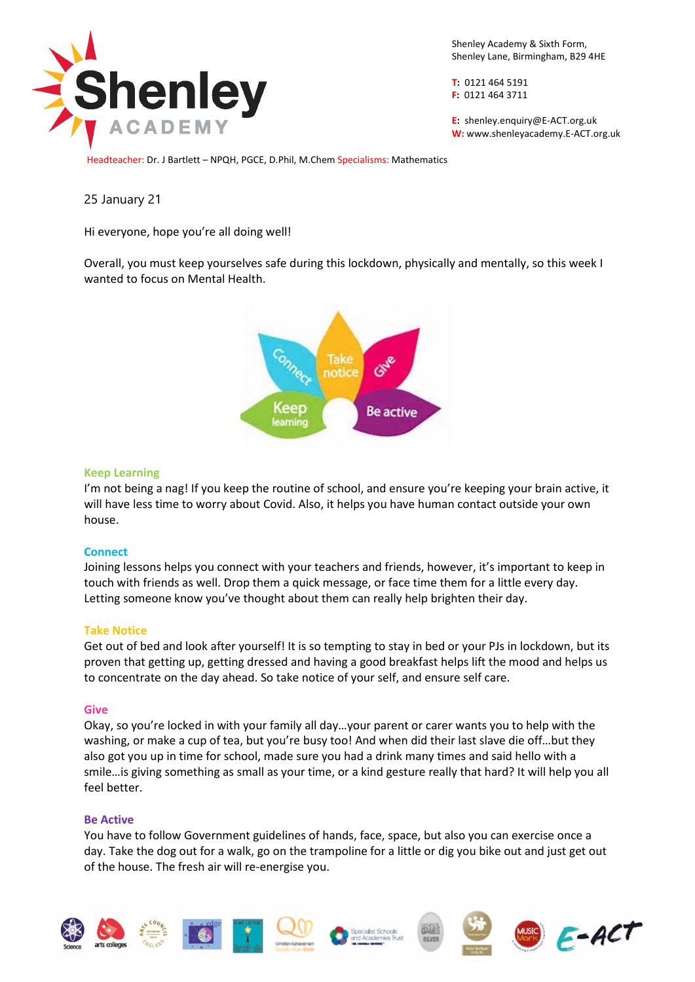

Shenley Academy & Sixth Form, Shenley Lane, Birmingham, B29 4HE

**T:** 0121 464 5191 **F:** 0121 464 3711

**E:** shenle[y.enquiry@E-ACT.org.uk](mailto:enquiry@E-ACT.org.uk) **W:** www.shenleyacademy.E-ACT.org.uk

Headteacher: Dr. J Bartlett – NPQH, PGCE, D.Phil, M.Chem Specialisms: Mathematics

# 25 January 21

Hi everyone, hope you're all doing well!

Overall, you must keep yourselves safe during this lockdown, physically and mentally, so this week I wanted to focus on Mental Health.



## **Keep Learning**

I'm not being a nag! If you keep the routine of school, and ensure you're keeping your brain active, it will have less time to worry about Covid. Also, it helps you have human contact outside your own house.

## **Connect**

Joining lessons helps you connect with your teachers and friends, however, it's important to keep in touch with friends as well. Drop them a quick message, or face time them for a little every day. Letting someone know you've thought about them can really help brighten their day.

## **Take Notice**

Get out of bed and look after yourself! It is so tempting to stay in bed or your PJs in lockdown, but its proven that getting up, getting dressed and having a good breakfast helps lift the mood and helps us to concentrate on the day ahead. So take notice of your self, and ensure self care.

### **Give**

Okay, so you're locked in with your family all day…your parent or carer wants you to help with the washing, or make a cup of tea, but you're busy too! And when did their last slave die off...but they also got you up in time for school, made sure you had a drink many times and said hello with a smile…is giving something as small as your time, or a kind gesture really that hard? It will help you all feel better.

### **Be Active**

You have to follow Government guidelines of hands, face, space, but also you can exercise once a day. Take the dog out for a walk, go on the trampoline for a little or dig you bike out and just get out of the house. The fresh air will re-energise you.